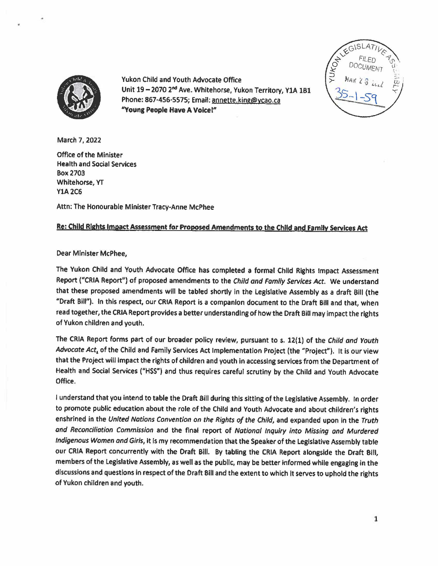



Yukon Child and Youth Advocate Office Unit 19 - 2070 2<sup>nd</sup> Ave. Whitehorse, Yukon Territory, Y1A 1B1 Phone: 867-456-5575; Email: annette.king@ycao.ca **"Youns People Have A Voice** In

March 7, 2022

Office of the Minister Health and Social Services Box2703 Whitehorse, YT **Y1A2C6** 

Attn: The Honourable Minister Tracy-Anne McPhee

## **Re: Child Rights** Impact **Assessment for Proposed Amendments to the** Chlld **and Family Services** Act

## Dear Minister McPhee,

The Yukon Child and Youth Advocate Office has completed a formal Child Rights Impact Assessment Report ("CRIA Report") of proposed amendments to the Child and Family Services Act. We understand that these proposed amendments will be tabled shortly in the Legislative Assembly as a draft Bill (the "Draft **Bill").** In this respect, our CRIA Report is a companion document to the Draft BIii and that, when read together, the CRIA Report provides a better understanding of how the Draft Bill may impact the rights of Yukon children and youth.

The CRIA Report forms part of our broader policy review, pursuant to s. 12(1) of the Child and Youth *Advocate Act,* of the Child and Family Services Act Implementation Project (the "Project"). It is our view that the Project will Impact the rights of children and youth in accessing services from the Department of Health and Social Services ("HSS") and thus requires careful scrutiny by the Child and Youth Advocate Office.

I understand that you intend to table the Draft Bill during this sitting of the Leglslative Assembly. In order to promote public education about the role of the Child and Youth Advocate and about children's rights enshrined in the United Nations Convention on the Rights of the Child, and expanded upon in the Truth and Reconciliation Commission and the final report of National Inquiry into Missing and Murdered Indigenous Women and Girls, it Is my recommendation that the Speaker of the Legislative Assembly table our CRIA Report concurrently with the Draft Bill. By tabling the CRIA Report alongside the Draft Bill, members of the Legislative Assembly, as well as the public, may be better informed while engaging in the discussions and questions in respect of the Draft Bill and the extent to which It serves to uphold the rights of Yukon children and youth.